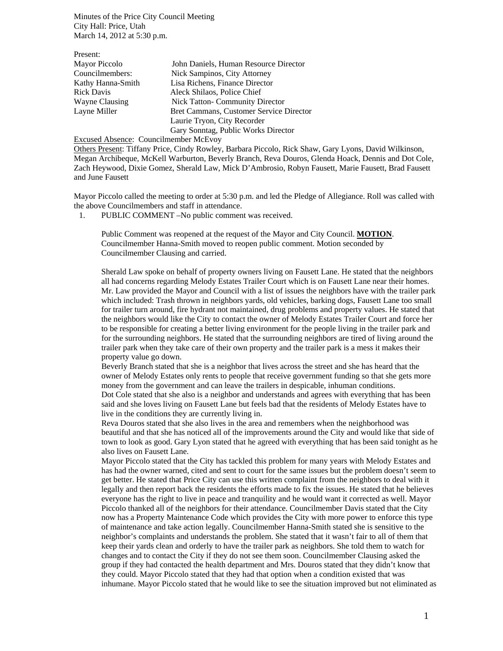Minutes of the Price City Council Meeting City Hall: Price, Utah March 14, 2012 at 5:30 p.m.

| John Daniels, Human Resource Director   |
|-----------------------------------------|
| Nick Sampinos, City Attorney            |
| Lisa Richens, Finance Director          |
| Aleck Shilaos, Police Chief             |
| <b>Nick Tatton- Community Director</b>  |
| Bret Cammans, Customer Service Director |
| Laurie Tryon, City Recorder             |
| Gary Sonntag, Public Works Director     |
|                                         |

Excused Absence: Councilmember McEvoy

Others Present: Tiffany Price, Cindy Rowley, Barbara Piccolo, Rick Shaw, Gary Lyons, David Wilkinson, Megan Archibeque, McKell Warburton, Beverly Branch, Reva Douros, Glenda Hoack, Dennis and Dot Cole, Zach Heywood, Dixie Gomez, Sherald Law, Mick D'Ambrosio, Robyn Fausett, Marie Fausett, Brad Fausett and June Fausett

Mayor Piccolo called the meeting to order at 5:30 p.m. and led the Pledge of Allegiance. Roll was called with the above Councilmembers and staff in attendance.

1. PUBLIC COMMENT –No public comment was received.

Public Comment was reopened at the request of the Mayor and City Council. **MOTION**. Councilmember Hanna-Smith moved to reopen public comment. Motion seconded by Councilmember Clausing and carried.

Sherald Law spoke on behalf of property owners living on Fausett Lane. He stated that the neighbors all had concerns regarding Melody Estates Trailer Court which is on Fausett Lane near their homes. Mr. Law provided the Mayor and Council with a list of issues the neighbors have with the trailer park which included: Trash thrown in neighbors yards, old vehicles, barking dogs, Fausett Lane too small for trailer turn around, fire hydrant not maintained, drug problems and property values. He stated that the neighbors would like the City to contact the owner of Melody Estates Trailer Court and force her to be responsible for creating a better living environment for the people living in the trailer park and for the surrounding neighbors. He stated that the surrounding neighbors are tired of living around the trailer park when they take care of their own property and the trailer park is a mess it makes their property value go down.

Beverly Branch stated that she is a neighbor that lives across the street and she has heard that the owner of Melody Estates only rents to people that receive government funding so that she gets more money from the government and can leave the trailers in despicable, inhuman conditions. Dot Cole stated that she also is a neighbor and understands and agrees with everything that has been said and she loves living on Fausett Lane but feels bad that the residents of Melody Estates have to live in the conditions they are currently living in.

Reva Douros stated that she also lives in the area and remembers when the neighborhood was beautiful and that she has noticed all of the improvements around the City and would like that side of town to look as good. Gary Lyon stated that he agreed with everything that has been said tonight as he also lives on Fausett Lane.

Mayor Piccolo stated that the City has tackled this problem for many years with Melody Estates and has had the owner warned, cited and sent to court for the same issues but the problem doesn't seem to get better. He stated that Price City can use this written complaint from the neighbors to deal with it legally and then report back the residents the efforts made to fix the issues. He stated that he believes everyone has the right to live in peace and tranquility and he would want it corrected as well. Mayor Piccolo thanked all of the neighbors for their attendance. Councilmember Davis stated that the City now has a Property Maintenance Code which provides the City with more power to enforce this type of maintenance and take action legally. Councilmember Hanna-Smith stated she is sensitive to the neighbor's complaints and understands the problem. She stated that it wasn't fair to all of them that keep their yards clean and orderly to have the trailer park as neighbors. She told them to watch for changes and to contact the City if they do not see them soon. Councilmember Clausing asked the group if they had contacted the health department and Mrs. Douros stated that they didn't know that they could. Mayor Piccolo stated that they had that option when a condition existed that was inhumane. Mayor Piccolo stated that he would like to see the situation improved but not eliminated as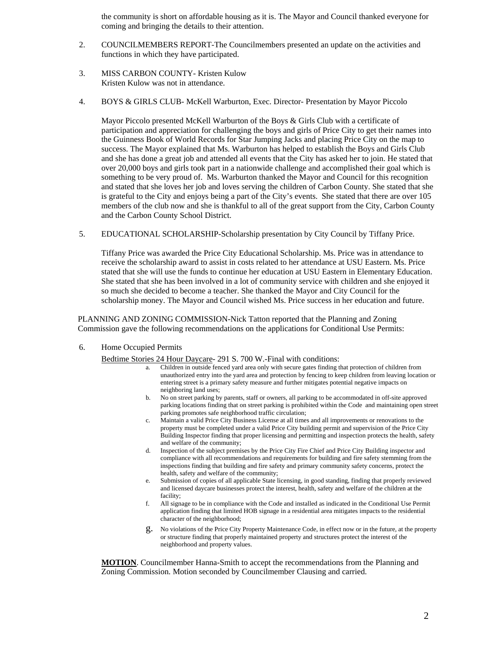the community is short on affordable housing as it is. The Mayor and Council thanked everyone for coming and bringing the details to their attention.

- 2. COUNCILMEMBERS REPORT-The Councilmembers presented an update on the activities and functions in which they have participated.
- 3. MISS CARBON COUNTY- Kristen Kulow Kristen Kulow was not in attendance.
- 4. BOYS & GIRLS CLUB- McKell Warburton, Exec. Director- Presentation by Mayor Piccolo

Mayor Piccolo presented McKell Warburton of the Boys & Girls Club with a certificate of participation and appreciation for challenging the boys and girls of Price City to get their names into the Guinness Book of World Records for Star Jumping Jacks and placing Price City on the map to success. The Mayor explained that Ms. Warburton has helped to establish the Boys and Girls Club and she has done a great job and attended all events that the City has asked her to join. He stated that over 20,000 boys and girls took part in a nationwide challenge and accomplished their goal which is something to be very proud of. Ms. Warburton thanked the Mayor and Council for this recognition and stated that she loves her job and loves serving the children of Carbon County. She stated that she is grateful to the City and enjoys being a part of the City's events. She stated that there are over 105 members of the club now and she is thankful to all of the great support from the City, Carbon County and the Carbon County School District.

5. EDUCATIONAL SCHOLARSHIP-Scholarship presentation by City Council by Tiffany Price.

Tiffany Price was awarded the Price City Educational Scholarship. Ms. Price was in attendance to receive the scholarship award to assist in costs related to her attendance at USU Eastern. Ms. Price stated that she will use the funds to continue her education at USU Eastern in Elementary Education. She stated that she has been involved in a lot of community service with children and she enjoyed it so much she decided to become a teacher. She thanked the Mayor and City Council for the scholarship money. The Mayor and Council wished Ms. Price success in her education and future.

PLANNING AND ZONING COMMISSION-Nick Tatton reported that the Planning and Zoning Commission gave the following recommendations on the applications for Conditional Use Permits:

6. Home Occupied Permits

- Bedtime Stories 24 Hour Daycare- 291 S. 700 W.-Final with conditions:<br>a. Children in outside fenced yard area only with secure gates finding that protection of children from unauthorized entry into the yard area and protection by fencing to keep children from leaving location or entering street is a primary safety measure and further mitigates potential negative impacts on neighboring land uses;
	- b. No on street parking by parents, staff or owners, all parking to be accommodated in off-site approved parking locations finding that on street parking is prohibited within the Code and maintaining open street parking promotes safe neighborhood traffic circulation;
	- c. Maintain a valid Price City Business License at all times and all improvements or renovations to the property must be completed under a valid Price City building permit and supervision of the Price City Building Inspector finding that proper licensing and permitting and inspection protects the health, safety and welfare of the community;
	- d. Inspection of the subject premises by the Price City Fire Chief and Price City Building inspector and compliance with all recommendations and requirements for building and fire safety stemming from the inspections finding that building and fire safety and primary community safety concerns, protect the health, safety and welfare of the community;
	- e. Submission of copies of all applicable State licensing, in good standing, finding that properly reviewed and licensed daycare businesses protect the interest, health, safety and welfare of the children at the facility;
	- f. All signage to be in compliance with the Code and installed as indicated in the Conditional Use Permit application finding that limited HOB signage in a residential area mitigates impacts to the residential character of the neighborhood;
	- g. No violations of the Price City Property Maintenance Code, in effect now or in the future, at the property or structure finding that properly maintained property and structures protect the interest of the neighborhood and property values.

**MOTION**. Councilmember Hanna-Smith to accept the recommendations from the Planning and Zoning Commission. Motion seconded by Councilmember Clausing and carried.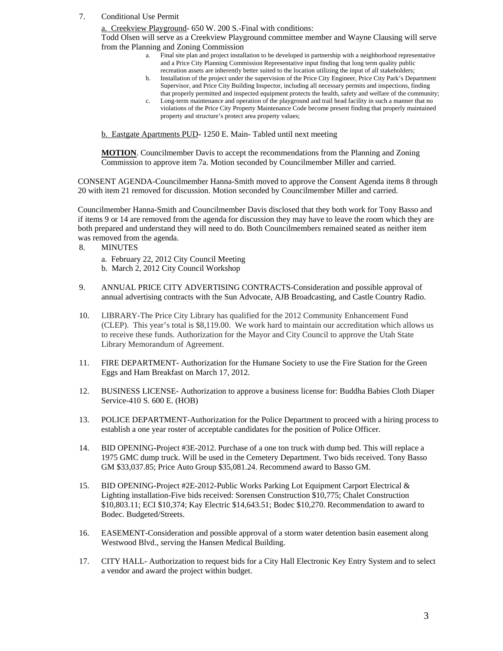7. Conditional Use Permit

a. Creekview Playground- 650 W. 200 S.-Final with conditions: Todd Olsen will serve as a Creekview Playground committee member and Wayne Clausing will serve

- from the Planning and Zoning Commission a. Final site plan and project installation to be developed in partnership with a neighborhood representative and a Price City Planning Commission Representative input finding that long term quality public
	- recreation assets are inherently better suited to the location utilizing the input of all stakeholders; b. Installation of the project under the supervision of the Price City Engineer, Price City Park's Department Supervisor, and Price City Building Inspector, including all necessary permits and inspections, finding that properly permitted and inspected equipment protects the health, safety and welfare of the community;
	- c. Long-term maintenance and operation of the playground and trail head facility in such a manner that no violations of the Price City Property Maintenance Code become present finding that properly maintained property and structure's protect area property values;

b. Eastgate Apartments PUD- 1250 E. Main- Tabled until next meeting

**MOTION**. Councilmember Davis to accept the recommendations from the Planning and Zoning Commission to approve item 7a. Motion seconded by Councilmember Miller and carried.

CONSENT AGENDA-Councilmember Hanna-Smith moved to approve the Consent Agenda items 8 through 20 with item 21 removed for discussion. Motion seconded by Councilmember Miller and carried.

Councilmember Hanna-Smith and Councilmember Davis disclosed that they both work for Tony Basso and if items 9 or 14 are removed from the agenda for discussion they may have to leave the room which they are both prepared and understand they will need to do. Both Councilmembers remained seated as neither item was removed from the agenda.

8. MINUTES

a. February 22, 2012 City Council Meeting

- b. March 2, 2012 City Council Workshop
- 9. ANNUAL PRICE CITY ADVERTISING CONTRACTS-Consideration and possible approval of annual advertising contracts with the Sun Advocate, AJB Broadcasting, and Castle Country Radio.
- 10. LIBRARY-The Price City Library has qualified for the 2012 Community Enhancement Fund (CLEP). This year's total is \$8,119.00. We work hard to maintain our accreditation which allows us to receive these funds. Authorization for the Mayor and City Council to approve the Utah State Library Memorandum of Agreement.
- 11. FIRE DEPARTMENT- Authorization for the Humane Society to use the Fire Station for the Green Eggs and Ham Breakfast on March 17, 2012.
- 12. BUSINESS LICENSE- Authorization to approve a business license for: Buddha Babies Cloth Diaper Service-410 S. 600 E. (HOB)
- 13. POLICE DEPARTMENT-Authorization for the Police Department to proceed with a hiring process to establish a one year roster of acceptable candidates for the position of Police Officer.
- 14. BID OPENING-Project #3E-2012. Purchase of a one ton truck with dump bed. This will replace a 1975 GMC dump truck. Will be used in the Cemetery Department. Two bids received. Tony Basso GM \$33,037.85; Price Auto Group \$35,081.24. Recommend award to Basso GM.
- 15. BID OPENING-Project #2E-2012-Public Works Parking Lot Equipment Carport Electrical & Lighting installation-Five bids received: Sorensen Construction \$10,775; Chalet Construction \$10,803.11; ECI \$10,374; Kay Electric \$14,643.51; Bodec \$10,270. Recommendation to award to Bodec. Budgeted/Streets.
- 16. EASEMENT-Consideration and possible approval of a storm water detention basin easement along Westwood Blvd., serving the Hansen Medical Building.
- 17. CITY HALL- Authorization to request bids for a City Hall Electronic Key Entry System and to select a vendor and award the project within budget.